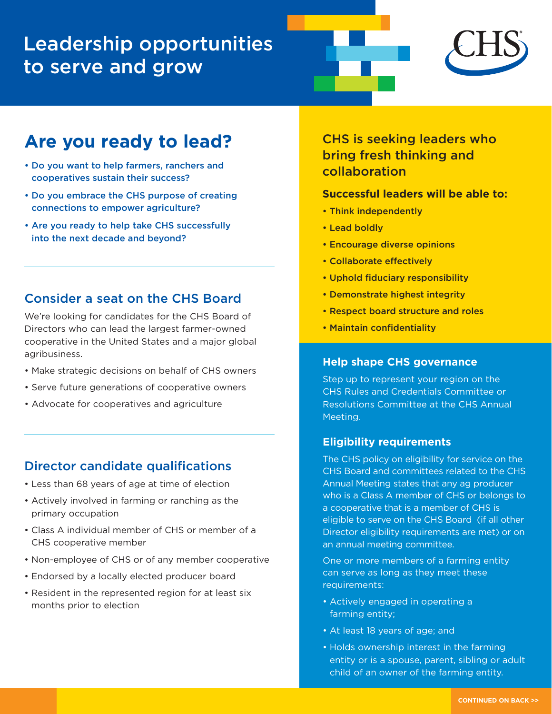# Leadership opportunities to serve and grow



## **Are you ready to lead?**

- Do you want to help farmers, ranchers and cooperatives sustain their success?
- Do you embrace the CHS purpose of creating connections to empower agriculture?
- Are you ready to help take CHS successfully into the next decade and beyond?

## Consider a seat on the CHS Board

We're looking for candidates for the CHS Board of Directors who can lead the largest farmer-owned cooperative in the United States and a major global agribusiness.

- Make strategic decisions on behalf of CHS owners
- Serve future generations of cooperative owners
- Advocate for cooperatives and agriculture

### Director candidate qualifications

- Less than 68 years of age at time of election
- Actively involved in farming or ranching as the primary occupation
- Class A individual member of CHS or member of a CHS cooperative member
- Non-employee of CHS or of any member cooperative
- Endorsed by a locally elected producer board
- Resident in the represented region for at least six months prior to election

CHS is seeking leaders who bring fresh thinking and collaboration

#### **Successful leaders will be able to:**

- Think independently
- Lead boldly
- Encourage diverse opinions
- Collaborate effectively
- Uphold fiduciary responsibility
- Demonstrate highest integrity
- Respect board structure and roles
- Maintain confidentiality

#### **Help shape CHS governance**

Step up to represent your region on the CHS Rules and Credentials Committee or Resolutions Committee at the CHS Annual Meeting.

#### **Eligibility requirements**

The CHS policy on eligibility for service on the CHS Board and committees related to the CHS Annual Meeting states that any ag producer who is a Class A member of CHS or belongs to a cooperative that is a member of CHS is eligible to serve on the CHS Board (if all other Director eligibility requirements are met) or on an annual meeting committee.

One or more members of a farming entity can serve as long as they meet these requirements:

- Actively engaged in operating a farming entity;
- At least 18 years of age; and
- Holds ownership interest in the farming entity or is a spouse, parent, sibling or adult child of an owner of the farming entity.